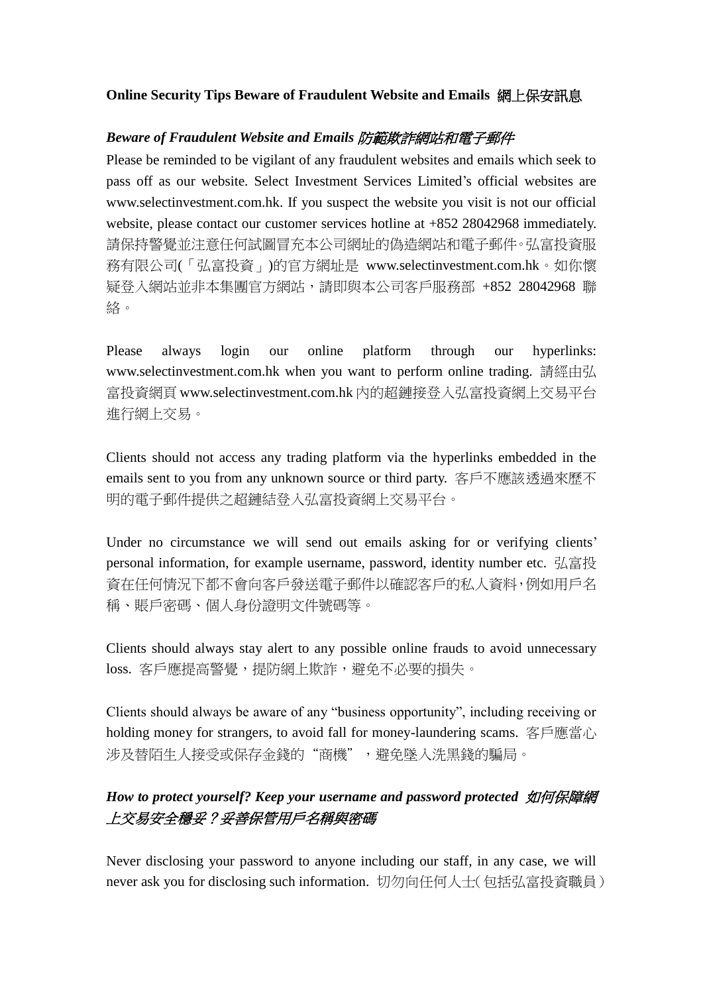#### **Online Security Tips Beware of Fraudulent Website and Emails** 網上保安訊息

#### *Beware of Fraudulent Website and Emails* 防範欺詐網站和電子郵件

Please be reminded to be vigilant of any fraudulent websites and emails which seek to pass off as our website. Select Investment Services Limited's official websites are www.selectinvestment.com.hk. If you suspect the website you visit is not our official website, please contact our customer services hotline at +852 28042968 immediately. 請保持警覺並注意任何試圖冒充本公司網址的偽造網站和電子郵件。弘富投資服 務有限公司(「弘富投資」)的官方網址是 www.selectinvestment.com.hk。如你懷 疑登入網站並非本集團官方網站,請即與本公司客戶服務部 +852 28042968 聯 絡。

Please always login our online platform through our hyperlinks: www.selectinvestment.com.hk when you want to perform online trading. 請經由弘 富投資網頁 www.selectinvestment.com.hk 內的超鏈接登入弘富投資網上交易平台 進行網上交易。

Clients should not access any trading platform via the hyperlinks embedded in the emails sent to you from any unknown source or third party. 客戶不應該透過來歷不 明的電子郵件提供之超鏈結登入弘富投資網上交易平台。

Under no circumstance we will send out emails asking for or verifying clients' personal information, for example username, password, identity number etc. 弘富投 資在任何情況下都不會向客戶發送電子郵件以確認客戶的私人資料,例如用戶名 稱、賬戶密碼、個人身份證明文件號碼等。

Clients should always stay alert to any possible online frauds to avoid unnecessary loss. 客戶應提高警覺,提防網上欺詐,避免不必要的損失。

Clients should always be aware of any "business opportunity", including receiving or holding money for strangers, to avoid fall for money-laundering scams. 客戶應當心 涉及替陌生人接受或保存金錢的"商機",避免墜入洗黑錢的騙局。

# *How to protect yourself? Keep your username and password protected* 如何保障網 上交易安全穩妥?妥善保管用戶名稱與密碼

Never disclosing your password to anyone including our staff, in any case, we will never ask you for disclosing such information. 切勿向任何人士(包括弘富投資職員)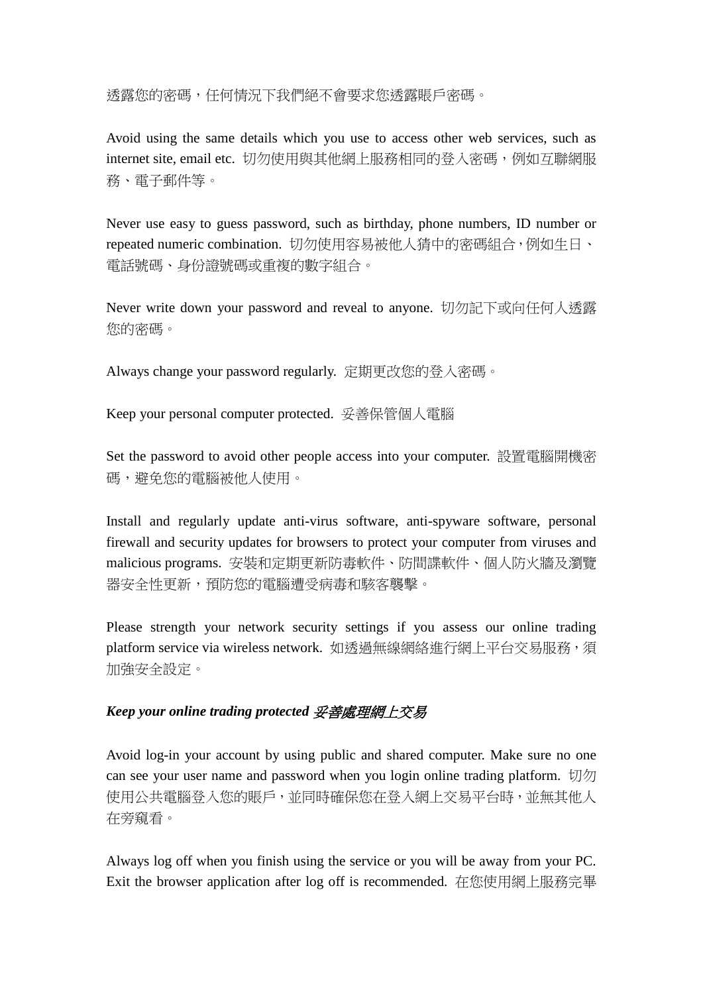透露您的密碼,任何情況下我們絕不會要求您透露賬戶密碼。

Avoid using the same details which you use to access other web services, such as internet site, email etc. 切勿使用與其他網上服務相同的登入密碼,例如互聯網服 務、電子郵件等。

Never use easy to guess password, such as birthday, phone numbers, ID number or repeated numeric combination. 切勿使用容易被他人猜中的密碼組合,例如生日、 電話號碼、身份證號碼或重複的數字組合。

Never write down your password and reveal to anyone. 切勿記下或向任何人透露 您的密碼。

Always change your password regularly. 定期更改您的登入密碼。

Keep your personal computer protected. 妥善保管個人電腦

Set the password to avoid other people access into your computer. 設置電腦開機密 碼,避免您的電腦被他人使用。

Install and regularly update anti-virus software, anti-spyware software, personal firewall and security updates for browsers to protect your computer from viruses and malicious programs. 安裝和定期更新防毒軟件、防間諜軟件、個人防火牆及瀏覽 器安全性更新,預防您的電腦遭受病毒和駭客襲擊。

Please strength your network security settings if you assess our online trading platform service via wireless network. 如透過無線網絡進行網上平台交易服務,須 加強安全設定。

## *Keep your online trading protected* 妥善處理網上交易

Avoid log-in your account by using public and shared computer. Make sure no one can see your user name and password when you login online trading platform.  $\Box \Box \Box$ 使用公共電腦登入您的賬戶,並同時確保您在登入網上交易平台時,並無其他人 在旁窺看。

Always log off when you finish using the service or you will be away from your PC. Exit the browser application after log off is recommended. 在您使用網上服務完畢